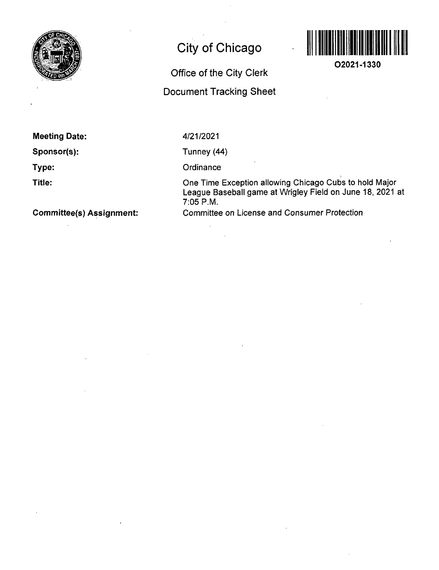

## **City of Chicago**

## **Office of the City Clerk Document Tracking Sheet**



**02021-1330** 

**Meeting Date:** 

**Sponsor(s):** 

**Type:** 

**Title:** 

4/21/2021

Tunney (44)

**Ordinance** 

One Time Exception allowing Chicago Cubs to hold Major League Baseball game at Wrigley Field on June 18, 2021 at 7:05 P.M. Committee on License and Consumer Protection

**Committee(s) Assignment:**